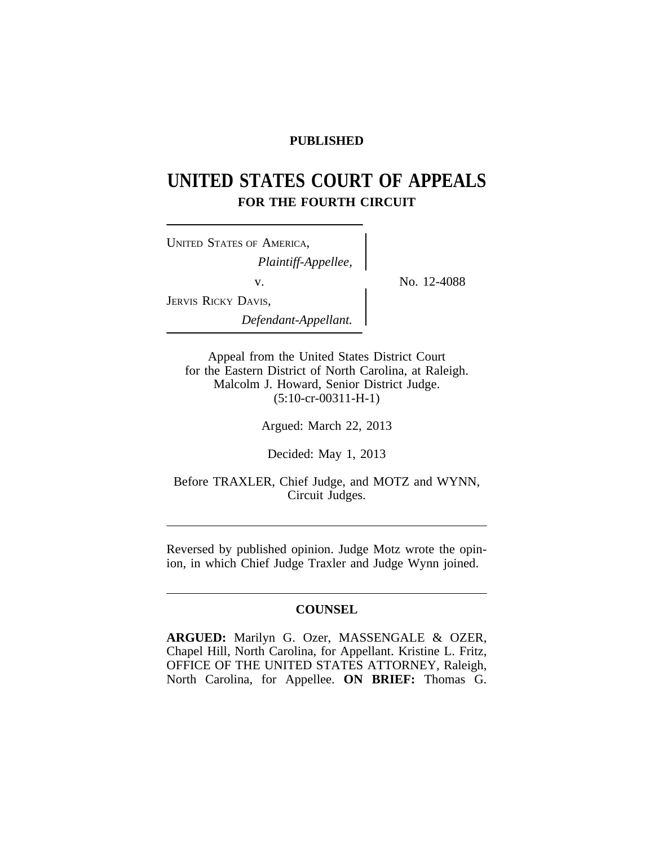# **PUBLISHED**

# **UNITED STATES COURT OF APPEALS FOR THE FOURTH CIRCUIT**

No. 12-4088

| UNITED STATES OF AMERICA, |  |
|---------------------------|--|
| Plaintiff-Appellee,       |  |
| V.                        |  |
| JERVIS RICKY DAVIS,       |  |
| Defendant-Appellant.      |  |

Appeal from the United States District Court for the Eastern District of North Carolina, at Raleigh. Malcolm J. Howard, Senior District Judge. (5:10-cr-00311-H-1)

Argued: March 22, 2013

Decided: May 1, 2013

Before TRAXLER, Chief Judge, and MOTZ and WYNN, Circuit Judges.

Reversed by published opinion. Judge Motz wrote the opinion, in which Chief Judge Traxler and Judge Wynn joined.

# **COUNSEL**

**ARGUED:** Marilyn G. Ozer, MASSENGALE & OZER, Chapel Hill, North Carolina, for Appellant. Kristine L. Fritz, OFFICE OF THE UNITED STATES ATTORNEY, Raleigh, North Carolina, for Appellee. **ON BRIEF:** Thomas G.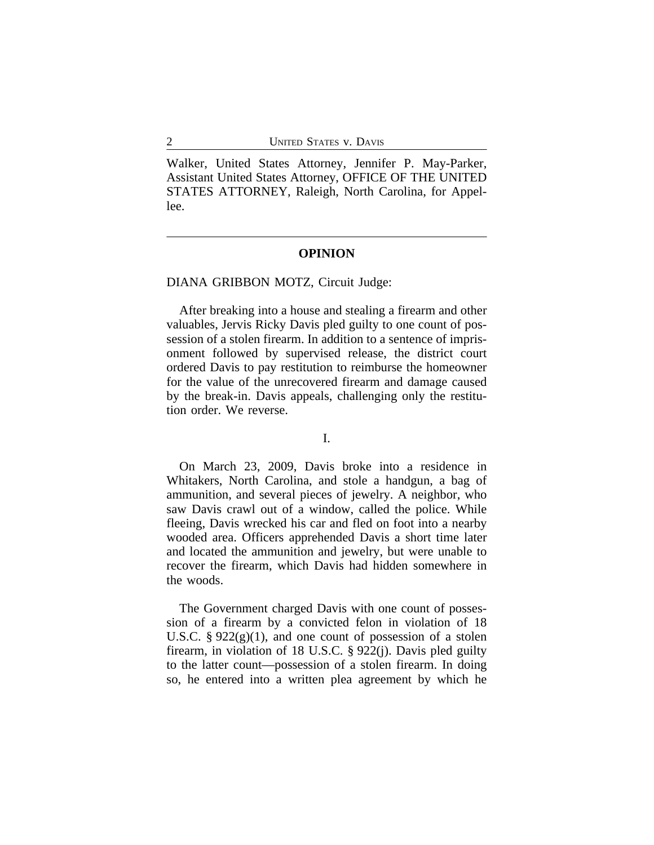Walker, United States Attorney, Jennifer P. May-Parker, Assistant United States Attorney, OFFICE OF THE UNITED STATES ATTORNEY, Raleigh, North Carolina, for Appellee.

#### **OPINION**

#### DIANA GRIBBON MOTZ, Circuit Judge:

After breaking into a house and stealing a firearm and other valuables, Jervis Ricky Davis pled guilty to one count of possession of a stolen firearm. In addition to a sentence of imprisonment followed by supervised release, the district court ordered Davis to pay restitution to reimburse the homeowner for the value of the unrecovered firearm and damage caused by the break-in. Davis appeals, challenging only the restitution order. We reverse.

### I.

On March 23, 2009, Davis broke into a residence in Whitakers, North Carolina, and stole a handgun, a bag of ammunition, and several pieces of jewelry. A neighbor, who saw Davis crawl out of a window, called the police. While fleeing, Davis wrecked his car and fled on foot into a nearby wooded area. Officers apprehended Davis a short time later and located the ammunition and jewelry, but were unable to recover the firearm, which Davis had hidden somewhere in the woods.

The Government charged Davis with one count of possession of a firearm by a convicted felon in violation of 18 U.S.C.  $\S 922(g)(1)$ , and one count of possession of a stolen firearm, in violation of 18 U.S.C. § 922(j). Davis pled guilty to the latter count—possession of a stolen firearm. In doing so, he entered into a written plea agreement by which he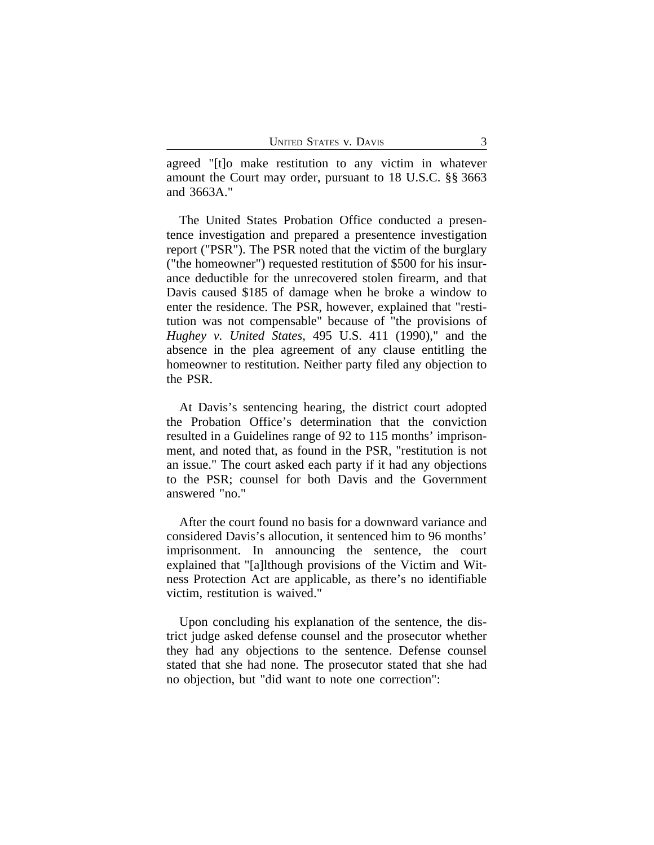agreed "[t]o make restitution to any victim in whatever amount the Court may order, pursuant to 18 U.S.C. §§ 3663 and 3663A."

The United States Probation Office conducted a presentence investigation and prepared a presentence investigation report ("PSR"). The PSR noted that the victim of the burglary ("the homeowner") requested restitution of \$500 for his insurance deductible for the unrecovered stolen firearm, and that Davis caused \$185 of damage when he broke a window to enter the residence. The PSR, however, explained that "restitution was not compensable" because of "the provisions of *Hughey v. United States*, 495 U.S. 411 (1990)," and the absence in the plea agreement of any clause entitling the homeowner to restitution. Neither party filed any objection to the PSR.

At Davis's sentencing hearing, the district court adopted the Probation Office's determination that the conviction resulted in a Guidelines range of 92 to 115 months' imprisonment, and noted that, as found in the PSR, "restitution is not an issue." The court asked each party if it had any objections to the PSR; counsel for both Davis and the Government answered "no."

After the court found no basis for a downward variance and considered Davis's allocution, it sentenced him to 96 months' imprisonment. In announcing the sentence, the court explained that "[a]lthough provisions of the Victim and Witness Protection Act are applicable, as there's no identifiable victim, restitution is waived."

Upon concluding his explanation of the sentence, the district judge asked defense counsel and the prosecutor whether they had any objections to the sentence. Defense counsel stated that she had none. The prosecutor stated that she had no objection, but "did want to note one correction":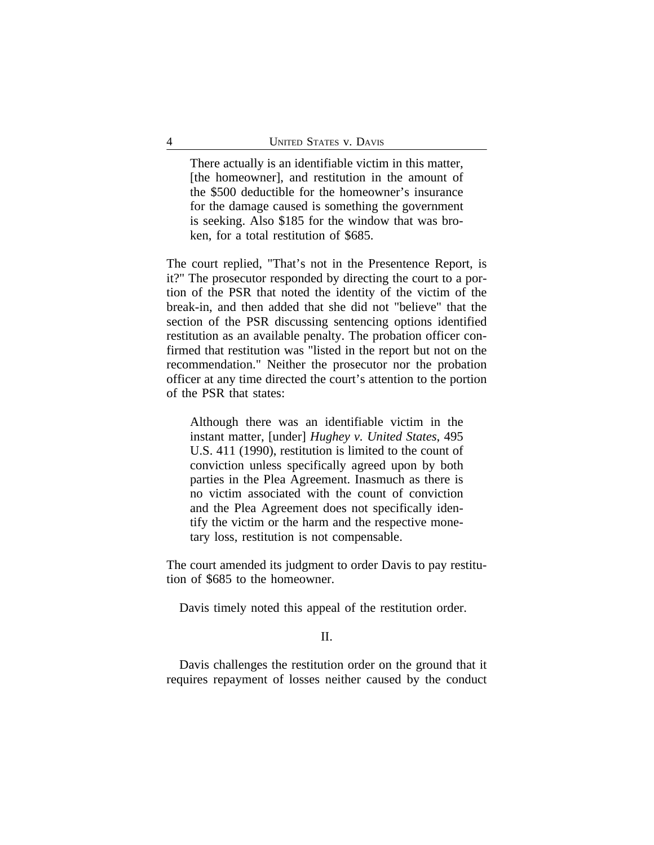There actually is an identifiable victim in this matter, [the homeowner], and restitution in the amount of the \$500 deductible for the homeowner's insurance for the damage caused is something the government is seeking. Also \$185 for the window that was broken, for a total restitution of \$685.

The court replied, "That's not in the Presentence Report, is it?" The prosecutor responded by directing the court to a portion of the PSR that noted the identity of the victim of the break-in, and then added that she did not "believe" that the section of the PSR discussing sentencing options identified restitution as an available penalty. The probation officer confirmed that restitution was "listed in the report but not on the recommendation." Neither the prosecutor nor the probation officer at any time directed the court's attention to the portion of the PSR that states:

Although there was an identifiable victim in the instant matter, [under] *Hughey v. United States*, 495 U.S. 411 (1990), restitution is limited to the count of conviction unless specifically agreed upon by both parties in the Plea Agreement. Inasmuch as there is no victim associated with the count of conviction and the Plea Agreement does not specifically identify the victim or the harm and the respective monetary loss, restitution is not compensable.

The court amended its judgment to order Davis to pay restitution of \$685 to the homeowner.

Davis timely noted this appeal of the restitution order.

## II.

Davis challenges the restitution order on the ground that it requires repayment of losses neither caused by the conduct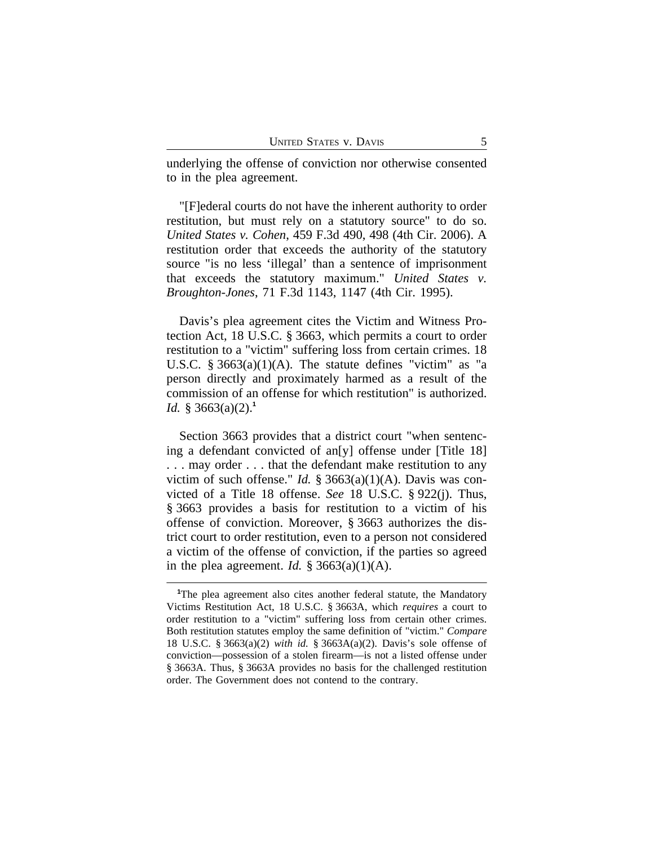underlying the offense of conviction nor otherwise consented to in the plea agreement.

"[F]ederal courts do not have the inherent authority to order restitution, but must rely on a statutory source" to do so. *United States v. Cohen*, 459 F.3d 490, 498 (4th Cir. 2006). A restitution order that exceeds the authority of the statutory source "is no less 'illegal' than a sentence of imprisonment that exceeds the statutory maximum." *United States v. Broughton-Jones*, 71 F.3d 1143, 1147 (4th Cir. 1995).

Davis's plea agreement cites the Victim and Witness Protection Act, 18 U.S.C. § 3663, which permits a court to order restitution to a "victim" suffering loss from certain crimes. 18 U.S.C. § 3663(a)(1)(A). The statute defines "victim" as "a person directly and proximately harmed as a result of the commission of an offense for which restitution" is authorized. *Id.* § 3663(a)(2).**<sup>1</sup>**

Section 3663 provides that a district court "when sentencing a defendant convicted of an[y] offense under [Title 18] . . . may order . . . that the defendant make restitution to any victim of such offense." *Id.* § 3663(a)(1)(A). Davis was convicted of a Title 18 offense. *See* 18 U.S.C. § 922(j). Thus, § 3663 provides a basis for restitution to a victim of his offense of conviction. Moreover, § 3663 authorizes the district court to order restitution, even to a person not considered a victim of the offense of conviction, if the parties so agreed in the plea agreement. *Id.*  $\frac{8}{3663(a)(1)(A)}$ .

<sup>&</sup>lt;sup>1</sup>The plea agreement also cites another federal statute, the Mandatory Victims Restitution Act, 18 U.S.C. § 3663A, which *requires* a court to order restitution to a "victim" suffering loss from certain other crimes. Both restitution statutes employ the same definition of "victim." *Compare* 18 U.S.C. § 3663(a)(2) *with id.* § 3663A(a)(2). Davis's sole offense of conviction—possession of a stolen firearm—is not a listed offense under § 3663A. Thus, § 3663A provides no basis for the challenged restitution order. The Government does not contend to the contrary.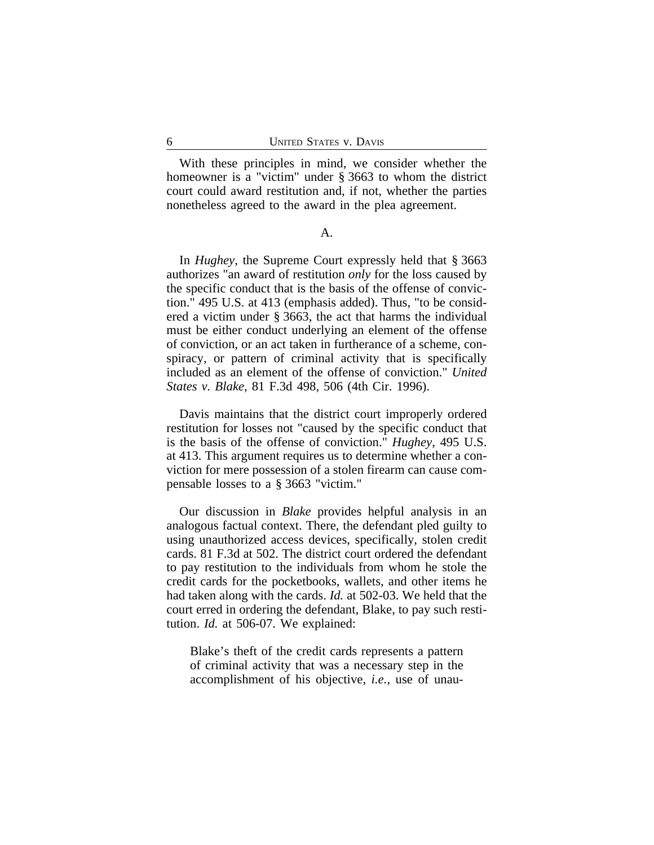With these principles in mind, we consider whether the homeowner is a "victim" under § 3663 to whom the district court could award restitution and, if not, whether the parties nonetheless agreed to the award in the plea agreement.

#### A.

In *Hughey*, the Supreme Court expressly held that § 3663 authorizes "an award of restitution *only* for the loss caused by the specific conduct that is the basis of the offense of conviction." 495 U.S. at 413 (emphasis added). Thus, "to be considered a victim under § 3663, the act that harms the individual must be either conduct underlying an element of the offense of conviction, or an act taken in furtherance of a scheme, conspiracy, or pattern of criminal activity that is specifically included as an element of the offense of conviction." *United States v. Blake*, 81 F.3d 498, 506 (4th Cir. 1996).

Davis maintains that the district court improperly ordered restitution for losses not "caused by the specific conduct that is the basis of the offense of conviction." *Hughey*, 495 U.S. at 413. This argument requires us to determine whether a conviction for mere possession of a stolen firearm can cause compensable losses to a § 3663 "victim."

Our discussion in *Blake* provides helpful analysis in an analogous factual context. There, the defendant pled guilty to using unauthorized access devices, specifically, stolen credit cards. 81 F.3d at 502. The district court ordered the defendant to pay restitution to the individuals from whom he stole the credit cards for the pocketbooks, wallets, and other items he had taken along with the cards. *Id.* at 502-03. We held that the court erred in ordering the defendant, Blake, to pay such restitution. *Id.* at 506-07. We explained:

Blake's theft of the credit cards represents a pattern of criminal activity that was a necessary step in the accomplishment of his objective, *i.e.*, use of unau-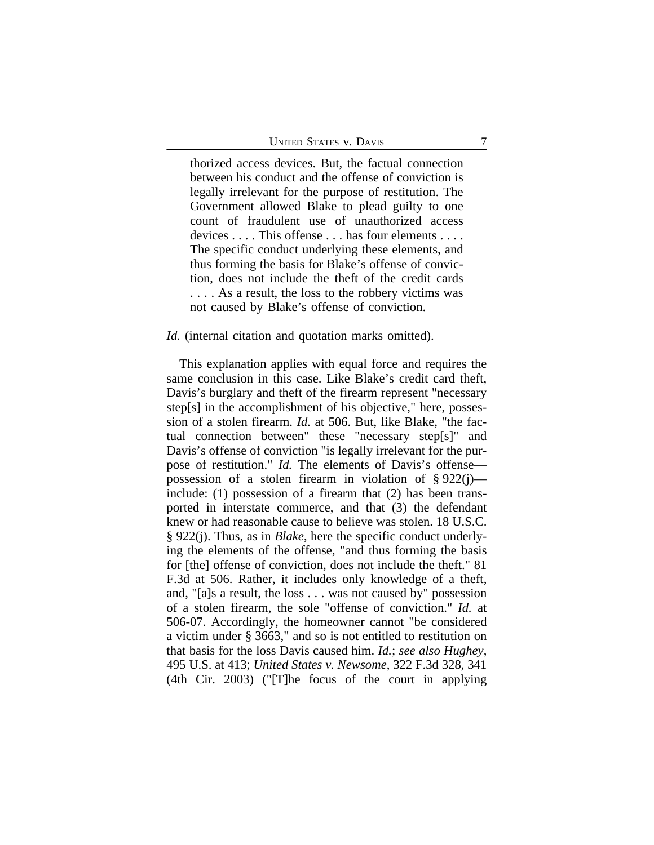thorized access devices. But, the factual connection between his conduct and the offense of conviction is legally irrelevant for the purpose of restitution. The Government allowed Blake to plead guilty to one count of fraudulent use of unauthorized access devices . . . . This offense . . . has four elements . . . . The specific conduct underlying these elements, and thus forming the basis for Blake's offense of conviction, does not include the theft of the credit cards . . . . As a result, the loss to the robbery victims was not caused by Blake's offense of conviction.

#### *Id.* (internal citation and quotation marks omitted).

This explanation applies with equal force and requires the same conclusion in this case. Like Blake's credit card theft, Davis's burglary and theft of the firearm represent "necessary step[s] in the accomplishment of his objective," here, possession of a stolen firearm. *Id.* at 506. But, like Blake, "the factual connection between" these "necessary step[s]" and Davis's offense of conviction "is legally irrelevant for the purpose of restitution." *Id.* The elements of Davis's offense possession of a stolen firearm in violation of  $\S 922(i)$  include: (1) possession of a firearm that (2) has been transported in interstate commerce, and that (3) the defendant knew or had reasonable cause to believe was stolen. 18 U.S.C. § 922(j). Thus, as in *Blake*, here the specific conduct underlying the elements of the offense, "and thus forming the basis for [the] offense of conviction, does not include the theft." 81 F.3d at 506. Rather, it includes only knowledge of a theft, and, "[a]s a result, the loss . . . was not caused by" possession of a stolen firearm, the sole "offense of conviction." *Id.* at 506-07. Accordingly, the homeowner cannot "be considered a victim under § 3663," and so is not entitled to restitution on that basis for the loss Davis caused him. *Id.*; *see also Hughey*, 495 U.S. at 413; *United States v. Newsome*, 322 F.3d 328, 341 (4th Cir. 2003) ("[T]he focus of the court in applying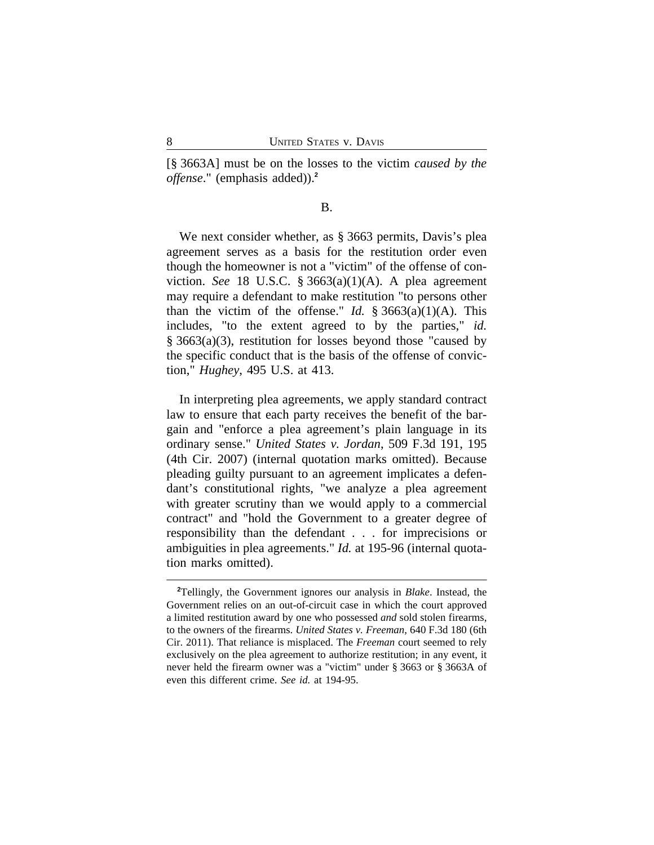[§ 3663A] must be on the losses to the victim *caused by the offense*." (emphasis added)).**<sup>2</sup>**

# B.

We next consider whether, as § 3663 permits, Davis's plea agreement serves as a basis for the restitution order even though the homeowner is not a "victim" of the offense of conviction. *See* 18 U.S.C. § 3663(a)(1)(A). A plea agreement may require a defendant to make restitution "to persons other than the victim of the offense." *Id.*  $\S 3663(a)(1)(A)$ . This includes, "to the extent agreed to by the parties," *id.* § 3663(a)(3), restitution for losses beyond those "caused by the specific conduct that is the basis of the offense of conviction," *Hughey*, 495 U.S. at 413.

In interpreting plea agreements, we apply standard contract law to ensure that each party receives the benefit of the bargain and "enforce a plea agreement's plain language in its ordinary sense." *United States v. Jordan*, 509 F.3d 191, 195 (4th Cir. 2007) (internal quotation marks omitted). Because pleading guilty pursuant to an agreement implicates a defendant's constitutional rights, "we analyze a plea agreement with greater scrutiny than we would apply to a commercial contract" and "hold the Government to a greater degree of responsibility than the defendant . . . for imprecisions or ambiguities in plea agreements." *Id.* at 195-96 (internal quotation marks omitted).

**<sup>2</sup>**Tellingly, the Government ignores our analysis in *Blake*. Instead, the Government relies on an out-of-circuit case in which the court approved a limited restitution award by one who possessed *and* sold stolen firearms, to the owners of the firearms. *United States v. Freeman*, 640 F.3d 180 (6th Cir. 2011). That reliance is misplaced. The *Freeman* court seemed to rely exclusively on the plea agreement to authorize restitution; in any event, it never held the firearm owner was a "victim" under § 3663 or § 3663A of even this different crime. *See id.* at 194-95.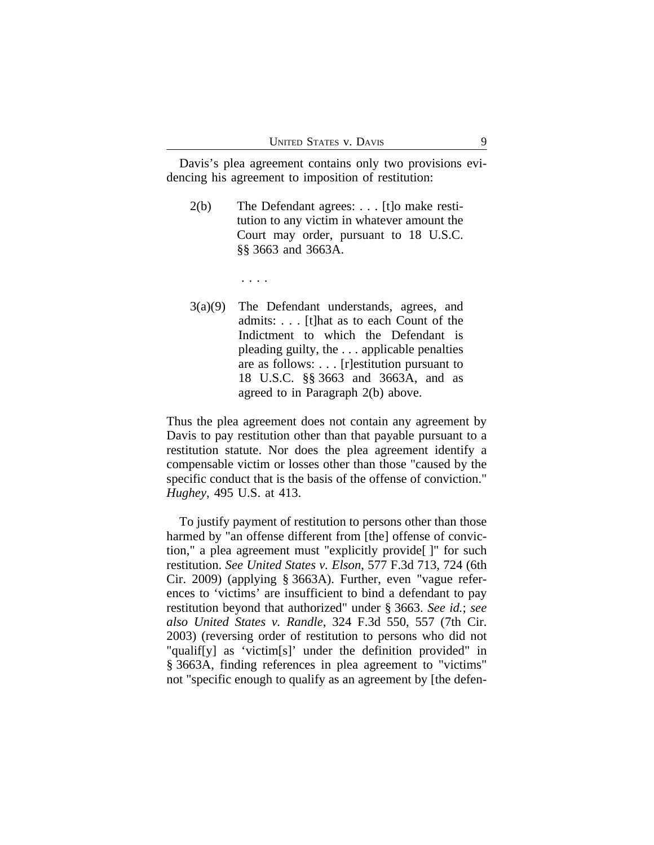Davis's plea agreement contains only two provisions evidencing his agreement to imposition of restitution:

- 2(b) The Defendant agrees: . . . [t]o make restitution to any victim in whatever amount the Court may order, pursuant to 18 U.S.C. §§ 3663 and 3663A.
	- . . . .
- 3(a)(9) The Defendant understands, agrees, and admits: . . . [t]hat as to each Count of the Indictment to which the Defendant is pleading guilty, the . . . applicable penalties are as follows: . . . [r]estitution pursuant to 18 U.S.C. §§ 3663 and 3663A, and as agreed to in Paragraph 2(b) above.

Thus the plea agreement does not contain any agreement by Davis to pay restitution other than that payable pursuant to a restitution statute. Nor does the plea agreement identify a compensable victim or losses other than those "caused by the specific conduct that is the basis of the offense of conviction." *Hughey*, 495 U.S. at 413.

To justify payment of restitution to persons other than those harmed by "an offense different from [the] offense of conviction," a plea agreement must "explicitly provide[ ]" for such restitution. *See United States v. Elson*, 577 F.3d 713, 724 (6th Cir. 2009) (applying § 3663A). Further, even "vague references to 'victims' are insufficient to bind a defendant to pay restitution beyond that authorized" under § 3663. *See id.*; *see also United States v. Randle*, 324 F.3d 550, 557 (7th Cir. 2003) (reversing order of restitution to persons who did not "qualif[y] as 'victim[s]' under the definition provided" in § 3663A, finding references in plea agreement to "victims" not "specific enough to qualify as an agreement by [the defen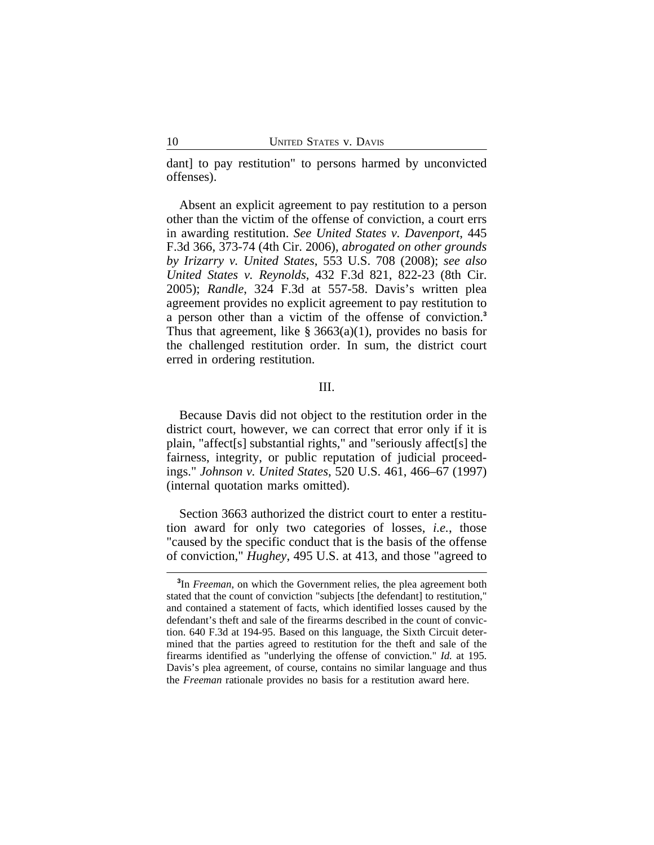dant] to pay restitution" to persons harmed by unconvicted offenses).

Absent an explicit agreement to pay restitution to a person other than the victim of the offense of conviction, a court errs in awarding restitution. *See United States v. Davenport*, 445 F.3d 366, 373-74 (4th Cir. 2006), *abrogated on other grounds by Irizarry v. United States*, 553 U.S. 708 (2008); *see also United States v. Reynolds*, 432 F.3d 821, 822-23 (8th Cir. 2005); *Randle*, 324 F.3d at 557-58. Davis's written plea agreement provides no explicit agreement to pay restitution to a person other than a victim of the offense of conviction.**<sup>3</sup>** Thus that agreement, like  $\S 3663(a)(1)$ , provides no basis for the challenged restitution order. In sum, the district court erred in ordering restitution.

# III.

Because Davis did not object to the restitution order in the district court, however, we can correct that error only if it is plain, "affect[s] substantial rights," and "seriously affect[s] the fairness, integrity, or public reputation of judicial proceedings." *Johnson v. United States*, 520 U.S. 461, 466–67 (1997) (internal quotation marks omitted).

Section 3663 authorized the district court to enter a restitution award for only two categories of losses, *i.e.*, those "caused by the specific conduct that is the basis of the offense of conviction," *Hughey*, 495 U.S. at 413, and those "agreed to

**<sup>3</sup>** In *Freeman*, on which the Government relies, the plea agreement both stated that the count of conviction "subjects [the defendant] to restitution," and contained a statement of facts, which identified losses caused by the defendant's theft and sale of the firearms described in the count of conviction. 640 F.3d at 194-95. Based on this language, the Sixth Circuit determined that the parties agreed to restitution for the theft and sale of the firearms identified as "underlying the offense of conviction." *Id.* at 195. Davis's plea agreement, of course, contains no similar language and thus the *Freeman* rationale provides no basis for a restitution award here.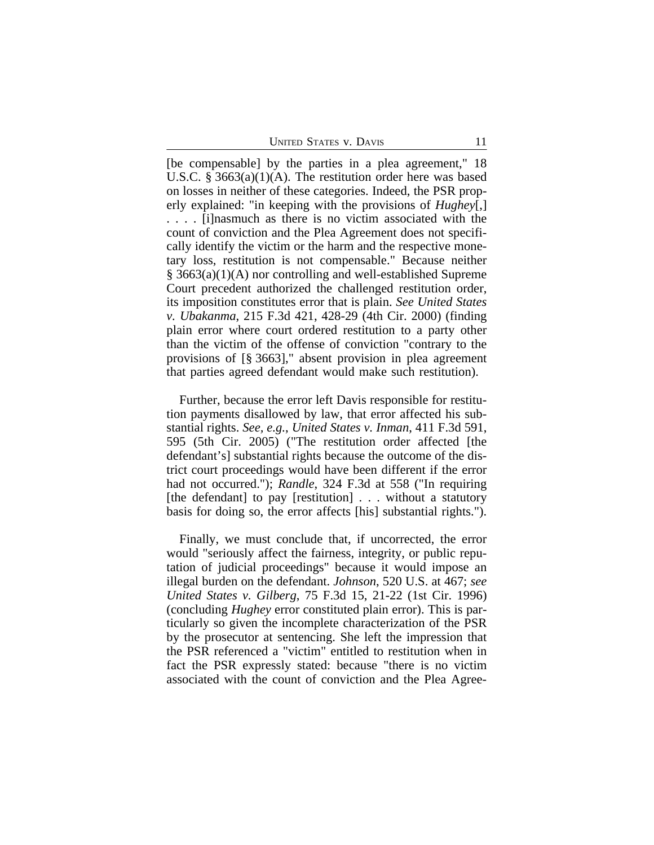UNITED STATES V. DAVIS 11

[be compensable] by the parties in a plea agreement," 18 U.S.C. § 3663(a)(1)(A). The restitution order here was based on losses in neither of these categories. Indeed, the PSR properly explained: "in keeping with the provisions of *Hughey*[,] . . . . [i]nasmuch as there is no victim associated with the count of conviction and the Plea Agreement does not specifically identify the victim or the harm and the respective monetary loss, restitution is not compensable." Because neither § 3663(a)(1)(A) nor controlling and well-established Supreme Court precedent authorized the challenged restitution order, its imposition constitutes error that is plain. *See United States v. Ubakanma*, 215 F.3d 421, 428-29 (4th Cir. 2000) (finding plain error where court ordered restitution to a party other than the victim of the offense of conviction "contrary to the provisions of [§ 3663]," absent provision in plea agreement that parties agreed defendant would make such restitution).

Further, because the error left Davis responsible for restitution payments disallowed by law, that error affected his substantial rights. *See, e.g.*, *United States v. Inman*, 411 F.3d 591, 595 (5th Cir. 2005) ("The restitution order affected [the defendant's] substantial rights because the outcome of the district court proceedings would have been different if the error had not occurred."); *Randle*, 324 F.3d at 558 ("In requiring [the defendant] to pay [restitution] . . . without a statutory basis for doing so, the error affects [his] substantial rights.").

Finally, we must conclude that, if uncorrected, the error would "seriously affect the fairness, integrity, or public reputation of judicial proceedings" because it would impose an illegal burden on the defendant. *Johnson*, 520 U.S. at 467; *see United States v. Gilberg*, 75 F.3d 15, 21-22 (1st Cir. 1996) (concluding *Hughey* error constituted plain error). This is particularly so given the incomplete characterization of the PSR by the prosecutor at sentencing. She left the impression that the PSR referenced a "victim" entitled to restitution when in fact the PSR expressly stated: because "there is no victim associated with the count of conviction and the Plea Agree